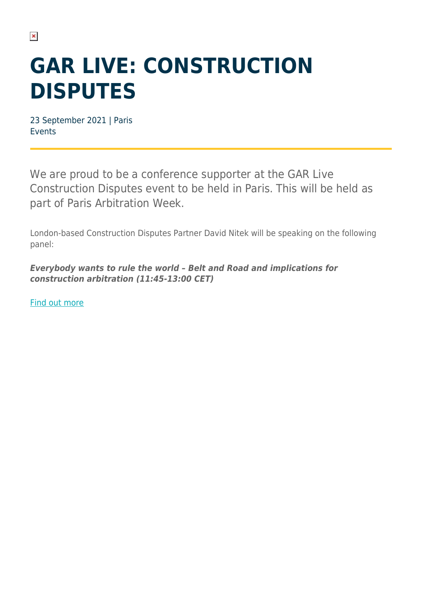## **GAR LIVE: CONSTRUCTION DISPUTES**

23 September 2021 | Paris Events

We are proud to be a conference supporter at the GAR Live Construction Disputes event to be held in Paris. This will be held as part of Paris Arbitration Week.

London-based Construction Disputes Partner David Nitek will be speaking on the following panel:

*Everybody wants to rule the world – Belt and Road and implications for construction arbitration (11:45-13:00 CET)*

[Find out more](https://events.globalarbitrationreview.com/event/7e8aa7b4-a943-4575-9ab8-2d292e723b70/websitePage:645d57e4-75eb-4769-b2c0-f201a0bfc6ce?RefId=DLP)

 $\pmb{\times}$